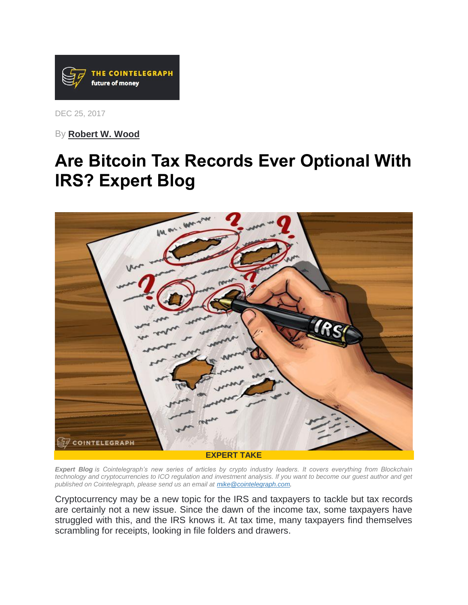

DEC 25, 2017

By **[Robert W. Wood](https://cointelegraph.com/news/irs-hunt-for-cryptocurrency-isnt-going-away-expert-blog)**

## **[Are Bitcoin Tax Records Ever Optional With](https://cointelegraph.com/news/are-bitcoin-tax-records-ever-optional-with-irs-expert-blog)  [IRS? Expert Blog](https://cointelegraph.com/news/are-bitcoin-tax-records-ever-optional-with-irs-expert-blog)**



*Expert Blog is Cointelegraph's new series of articles by crypto industry leaders. It covers everything from Blockchain technology and cryptocurrencies to ICO regulation and investment analysis. If you want to become our guest author and get published on Cointelegraph, please send us an email at [mike@cointelegraph.com.](mailto:mike@cointelegraph.com)*

Cryptocurrency may be a new topic for the IRS and taxpayers to tackle but tax records are certainly not a new issue. Since the dawn of the income tax, some taxpayers have struggled with this, and the IRS knows it. At tax time, many taxpayers find themselves scrambling for receipts, looking in file folders and drawers.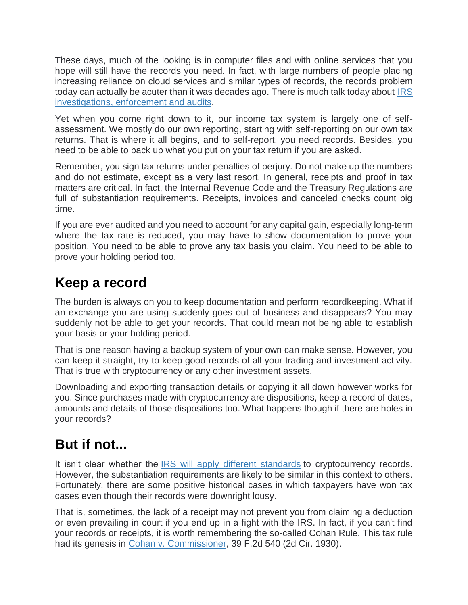These days, much of the looking is in computer files and with online services that you hope will still have the records you need. In fact, with large numbers of people placing increasing reliance on cloud services and similar types of records, the records problem today can actually be acuter than it was decades ago. There is much talk today about IRS [investigations, enforcement and audits.](https://cointelegraph.com/news/irs-hunt-for-cryptocurrency-isnt-going-away-expert-blog)

Yet when you come right down to it, our income tax system is largely one of selfassessment. We mostly do our own reporting, starting with self-reporting on our own tax returns. That is where it all begins, and to self-report, you need records. Besides, you need to be able to back up what you put on your tax return if you are asked.

Remember, you sign tax returns under penalties of perjury. Do not make up the numbers and do not estimate, except as a very last resort. In general, receipts and proof in tax matters are critical. In fact, the Internal Revenue Code and the Treasury Regulations are full of substantiation requirements. Receipts, invoices and canceled checks count big time.

If you are ever audited and you need to account for any capital gain, especially long-term where the tax rate is reduced, you may have to show documentation to prove your position. You need to be able to prove any tax basis you claim. You need to be able to prove your holding period too.

## **Keep a record**

The burden is always on you to keep documentation and perform recordkeeping. What if an exchange you are using suddenly goes out of business and disappears? You may suddenly not be able to get your records. That could mean not being able to establish your basis or your holding period.

That is one reason having a backup system of your own can make sense. However, you can keep it straight, try to keep good records of all your trading and investment activity. That is true with cryptocurrency or any other investment assets.

Downloading and exporting transaction details or copying it all down however works for you. Since purchases made with cryptocurrency are dispositions, keep a record of dates, amounts and details of those dispositions too. What happens though if there are holes in your records?

## **But if not...**

It isn't clear whether the [IRS will apply different standards](https://cointelegraph.com/news/crypto-prophets-from-1997-point-to-irs-showdown-expert-blog) to cryptocurrency records. However, the substantiation requirements are likely to be similar in this context to others. Fortunately, there are some positive historical cases in which taxpayers have won tax cases even though their records were downright lousy.

That is, sometimes, the lack of a receipt may not prevent you from claiming a deduction or even prevailing in court if you end up in a fight with the IRS. In fact, if you can't find your records or receipts, it is worth remembering the so-called Cohan Rule. This tax rule had its genesis in [Cohan v. Commissioner,](https://www.courtlistener.com/opinion/1543179/cohan-v-commissioner-of-internal-revenue/) 39 F.2d 540 (2d Cir. 1930).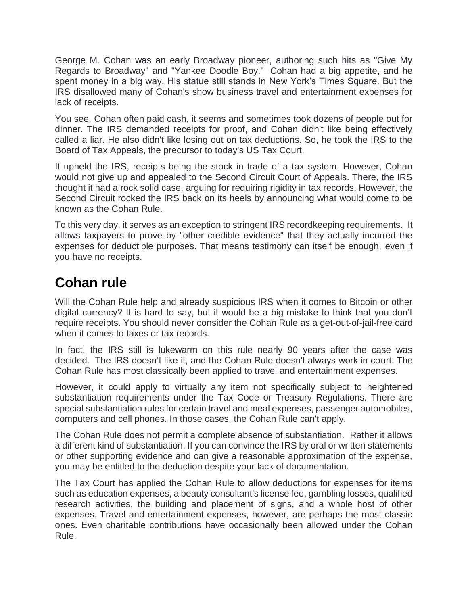George M. Cohan was an early Broadway pioneer, authoring such hits as "Give My Regards to Broadway" and "Yankee Doodle Boy." Cohan had a big appetite, and he spent money in a big way. His statue still stands in New York's Times Square. But the IRS disallowed many of Cohan's show business travel and entertainment expenses for lack of receipts.

You see, Cohan often paid cash, it seems and sometimes took dozens of people out for dinner. The IRS demanded receipts for proof, and Cohan didn't like being effectively called a liar. He also didn't like losing out on tax deductions. So, he took the IRS to the Board of Tax Appeals, the precursor to today's US Tax Court.

It upheld the IRS, receipts being the stock in trade of a tax system. However, Cohan would not give up and appealed to the Second Circuit Court of Appeals. There, the IRS thought it had a rock solid case, arguing for requiring rigidity in tax records. However, the Second Circuit rocked the IRS back on its heels by announcing what would come to be known as the Cohan Rule.

To this very day, it serves as an exception to stringent IRS recordkeeping requirements. It allows taxpayers to prove by "other credible evidence" that they actually incurred the expenses for deductible purposes. That means testimony can itself be enough, even if you have no receipts.

## **Cohan rule**

Will the Cohan Rule help and already suspicious IRS when it comes to Bitcoin or other digital currency? It is hard to say, but it would be a big mistake to think that you don't require receipts. You should never consider the Cohan Rule as a get-out-of-jail-free card when it comes to taxes or tax records.

In fact, the IRS still is lukewarm on this rule nearly 90 years after the case was decided. The IRS doesn't like it, and the Cohan Rule doesn't always work in court. The Cohan Rule has most classically been applied to travel and entertainment expenses.

However, it could apply to virtually any item not specifically subject to heightened substantiation requirements under the Tax Code or Treasury Regulations. There are special substantiation rules for certain travel and meal expenses, passenger automobiles, computers and cell phones. In those cases, the Cohan Rule can't apply.

The Cohan Rule does not permit a complete absence of substantiation. Rather it allows a different kind of substantiation. If you can convince the IRS by oral or written statements or other supporting evidence and can give a reasonable approximation of the expense, you may be entitled to the deduction despite your lack of documentation.

The Tax Court has applied the Cohan Rule to allow deductions for expenses for items such as education expenses, a beauty consultant's license fee, gambling losses, qualified research activities, the building and placement of signs, and a whole host of other expenses. Travel and entertainment expenses, however, are perhaps the most classic ones. Even charitable contributions have occasionally been allowed under the Cohan Rule.